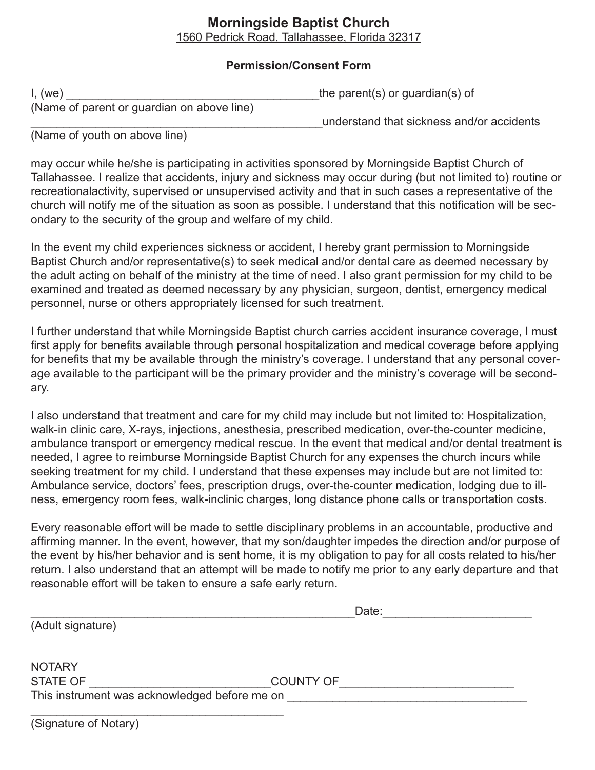## **Morningside Baptist Church**

1560 Pedrick Road, Tallahassee, Florida 32317

## **Permission/Consent Form**

| I, (we)                                    | the parent(s) or guardian(s) of           |
|--------------------------------------------|-------------------------------------------|
| (Name of parent or guardian on above line) |                                           |
|                                            | understand that sickness and/or accidents |

(Name of youth on above line)

may occur while he/she is participating in activities sponsored by Morningside Baptist Church of Tallahassee. I realize that accidents, injury and sickness may occur during (but not limited to) routine or recreationalactivity, supervised or unsupervised activity and that in such cases a representative of the church will notify me of the situation as soon as possible. I understand that this notification will be secondary to the security of the group and welfare of my child.

In the event my child experiences sickness or accident, I hereby grant permission to Morningside Baptist Church and/or representative(s) to seek medical and/or dental care as deemed necessary by the adult acting on behalf of the ministry at the time of need. I also grant permission for my child to be examined and treated as deemed necessary by any physician, surgeon, dentist, emergency medical personnel, nurse or others appropriately licensed for such treatment.

I further understand that while Morningside Baptist church carries accident insurance coverage, I must first apply for benefits available through personal hospitalization and medical coverage before applying for benefits that my be available through the ministry's coverage. I understand that any personal coverage available to the participant will be the primary provider and the ministry's coverage will be secondary.

I also understand that treatment and care for my child may include but not limited to: Hospitalization, walk-in clinic care, X-rays, injections, anesthesia, prescribed medication, over-the-counter medicine, ambulance transport or emergency medical rescue. In the event that medical and/or dental treatment is needed, I agree to reimburse Morningside Baptist Church for any expenses the church incurs while seeking treatment for my child. I understand that these expenses may include but are not limited to: Ambulance service, doctors' fees, prescription drugs, over-the-counter medication, lodging due to illness, emergency room fees, walk-inclinic charges, long distance phone calls or transportation costs.

Every reasonable effort will be made to settle disciplinary problems in an accountable, productive and affirming manner. In the event, however, that my son/daughter impedes the direction and/or purpose of the event by his/her behavior and is sent home, it is my obligation to pay for all costs related to his/her return. I also understand that an attempt will be made to notify me prior to any early departure and that reasonable effort will be taken to ensure a safe early return.

\_\_\_\_\_\_\_\_\_\_\_\_\_\_\_\_\_\_\_\_\_\_\_\_\_\_\_\_\_\_\_\_\_\_\_\_\_\_\_\_\_\_\_\_\_\_\_\_\_\_Date:\_\_\_\_\_\_\_\_\_\_\_\_\_\_\_\_\_\_\_\_\_\_\_

(Adult signature)

| <b>NOTARY</b>                                 |           |
|-----------------------------------------------|-----------|
| STATE OF                                      | COUNTY OF |
| This instrument was acknowledged before me on |           |

\_\_\_\_\_\_\_\_\_\_\_\_\_\_\_\_\_\_\_\_\_\_\_\_\_\_\_\_\_\_\_\_\_\_\_\_\_\_\_

| (Signature of Notary) |  |  |
|-----------------------|--|--|
|-----------------------|--|--|